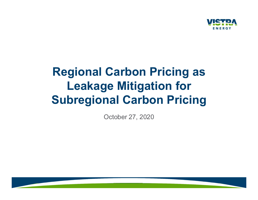

## Regional Carbon Pricing as Leakage Mitigation for **SUPRETRA**<br>Regional Carbon Pricing as<br>Leakage Mitigation for<br>Subregional Carbon Pricing<br><sub>October 27, 2020</sub>

October 27, 2020

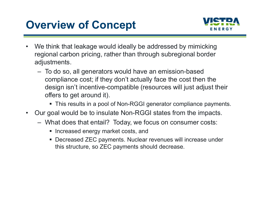## Overview of Concept



- **Overview of Concept**<br>
 We think that leakage would ideally be addressed by mimicking<br>
regional carbon pricing, rather than through subregional border<br>
adjustments. **VISTRA**<br>
We think that leakage would ideally be addressed by mimicking<br>
regional carbon pricing, rather than through subregional border<br>
adjustments.<br>
- To do so, all generators would have an emission-based adjustments.
- VETP<br>Ve think that leakage would ideally be addressed by mimicking<br>egional carbon pricing, rather than through subregional border<br>djustments.<br>— To do so, all generators would have an emission-based<br>compliance cost; if they compliance cost; if they don't actually face the cost then the design isn't incentive-compatible (resources will just adjust their offers to get around it). • We think that leakage would ideally be addressed by mimicking<br>regional carbon pricing, rather than through subregional border<br>adjustments.<br>– To do so, all generators would have an emission-based<br>compliance cost; if they Ve think that leakage would ideally be addressed by mimicking<br>egional carbon pricing, rather than through subregional border<br>dijustments.<br>- To do so, all generators would have an emission-based<br>compliance cost; if they don
	- This results in a pool of Non-RGGI generator compliance payments.
- - - Increased energy market costs, and
		- Decreased ZEC payments. Nuclear revenues will increase under this structure, so ZEC payments should decrease.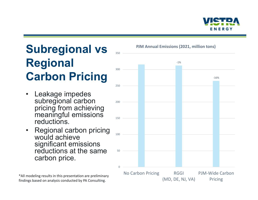

# Subregional vs Bunder Alline Contract Contract Contract Contract Contract Contract Contract Contract Contract Contract Contract Contract Contract Contract Contract Contract Contract Contract Contract Contract Contract Cont Regional Carbon Pricing Subregional vs<br>
Regional<br>
Carbon Pricing<br>
Leakage impedes<br>
subregional carbon<br>
pricing from achieving<br>
meaningful emissions **Subregional vs<br>
Regional<br>
Carbon Pricing<br>
• Leakage impedes<br>
• subregional carbon<br>
pricing from achieving<br>
meaningful emissions<br>
reductions.<br>
• Regional carbon pricing<br>
would achieve<br>
significant emissions<br>
reductions at**

- subregional carbon<br>pricing from achieving meaningful emissions meaning reductions.
- would achieve significant emissions reductions at the same so carbon price.

\*All modeling results in this presentation are preliminary findings based on analysis conducted by PA Consulting.

PJM Annual Emissions (2021, million tons)

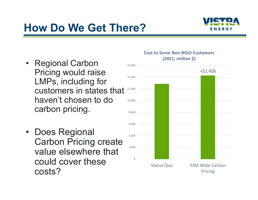## How Do We Get There?



- **How Do We Get There<br>• Regional Carbon<br>Pricing would raise<br>LMPs, including for** Pricing would raise LMPs, including for customers in states that haven't chosen to do carbon pricing. • Regional Carbon<br>
Pricing would raise<br>
LMPs, including for<br>
customers in states that<br>
haven't chosen to do<br>
carbon pricing.<br>
• Does Regional<br>
Carbon Pricing create<br>
value elsewhere that
- Carbon Pricing create value elsewhere that could cover these costs?

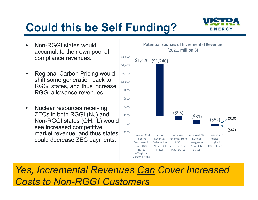# Could this be Self Funding? **Could this be Self Furner**<br>• Non-RGGI states would<br>accumulate their own pool of<br>compliance revenues.



- accumulate their own pool of compliance revenues.
- **Could this be Self Fun**<br>• Non-RGGI states would<br>accumulate their own pool of<br>compliance revenues.<br>• Regional Carbon Pricing would<br>shift some generation back to<br>RGGI states, and thus increase<br>RGGI allowance revenues. shift some generation back to RGGI states, and thus increase RGGI allowance revenues. **Could this be Self Funchion**<br>
• Non-RGGI states would<br>
accumulate their own pool of<br>
compliance revenues.<br>
• Regional Carbon Pricing would<br>
shift some generation back to<br>
RGGI states, and thus increase<br>
RGGI allowance rev
- ZECs in both RGGI (NJ) and s200 Non-RGGI states (OH, IL) would see increased competitive market revenue, and thus states could decrease ZEC payments.



Costs to Non-RGGI Customers